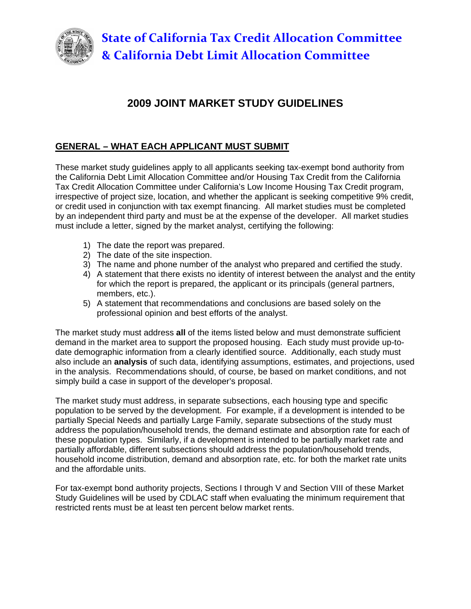

# **2009 JOINT MARKET STUDY GUIDELINES**

# **GENERAL – WHAT EACH APPLICANT MUST SUBMIT**

These market study guidelines apply to all applicants seeking tax-exempt bond authority from the California Debt Limit Allocation Committee and/or Housing Tax Credit from the California Tax Credit Allocation Committee under California's Low Income Housing Tax Credit program, irrespective of project size, location, and whether the applicant is seeking competitive 9% credit, or credit used in conjunction with tax exempt financing. All market studies must be completed by an independent third party and must be at the expense of the developer. All market studies must include a letter, signed by the market analyst, certifying the following:

- 1) The date the report was prepared.
- 2) The date of the site inspection.
- 3) The name and phone number of the analyst who prepared and certified the study.
- 4) A statement that there exists no identity of interest between the analyst and the entity for which the report is prepared, the applicant or its principals (general partners, members, etc.).
- 5) A statement that recommendations and conclusions are based solely on the professional opinion and best efforts of the analyst.

The market study must address **all** of the items listed below and must demonstrate sufficient demand in the market area to support the proposed housing. Each study must provide up-todate demographic information from a clearly identified source. Additionally, each study must also include an **analysis** of such data, identifying assumptions, estimates, and projections, used in the analysis. Recommendations should, of course, be based on market conditions, and not simply build a case in support of the developer's proposal.

The market study must address, in separate subsections, each housing type and specific population to be served by the development. For example, if a development is intended to be partially Special Needs and partially Large Family, separate subsections of the study must address the population/household trends, the demand estimate and absorption rate for each of these population types. Similarly, if a development is intended to be partially market rate and partially affordable, different subsections should address the population/household trends, household income distribution, demand and absorption rate, etc. for both the market rate units and the affordable units.

For tax-exempt bond authority projects, Sections I through V and Section VIII of these Market Study Guidelines will be used by CDLAC staff when evaluating the minimum requirement that restricted rents must be at least ten percent below market rents.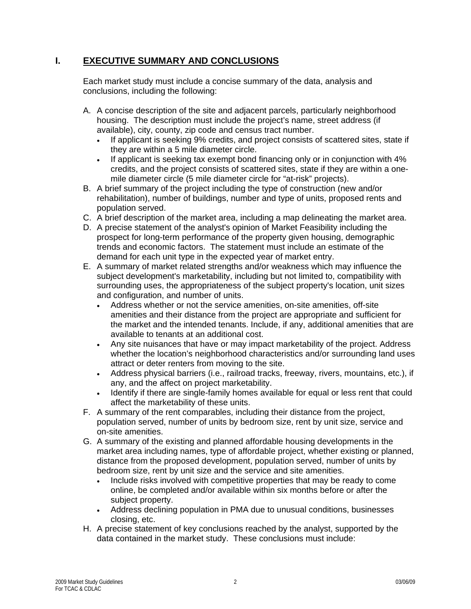# **I. EXECUTIVE SUMMARY AND CONCLUSIONS**

Each market study must include a concise summary of the data, analysis and conclusions, including the following:

- A. A concise description of the site and adjacent parcels, particularly neighborhood housing. The description must include the project's name, street address (if available), city, county, zip code and census tract number.
	- If applicant is seeking 9% credits, and project consists of scattered sites, state if they are within a 5 mile diameter circle.
	- If applicant is seeking tax exempt bond financing only or in conjunction with 4% credits, and the project consists of scattered sites, state if they are within a onemile diameter circle (5 mile diameter circle for "at-risk" projects).
- B. A brief summary of the project including the type of construction (new and/or rehabilitation), number of buildings, number and type of units, proposed rents and population served.
- C. A brief description of the market area, including a map delineating the market area.
- D. A precise statement of the analyst's opinion of Market Feasibility including the prospect for long-term performance of the property given housing, demographic trends and economic factors. The statement must include an estimate of the demand for each unit type in the expected year of market entry.
- E. A summary of market related strengths and/or weakness which may influence the subject development's marketability, including but not limited to, compatibility with surrounding uses, the appropriateness of the subject property's location, unit sizes and configuration, and number of units.
	- Address whether or not the service amenities, on-site amenities, off-site amenities and their distance from the project are appropriate and sufficient for the market and the intended tenants. Include, if any, additional amenities that are available to tenants at an additional cost.
	- Any site nuisances that have or may impact marketability of the project. Address whether the location's neighborhood characteristics and/or surrounding land uses attract or deter renters from moving to the site.
	- Address physical barriers (i.e., railroad tracks, freeway, rivers, mountains, etc.), if any, and the affect on project marketability.
	- Identify if there are single-family homes available for equal or less rent that could affect the marketability of these units.
- F. A summary of the rent comparables, including their distance from the project, population served, number of units by bedroom size, rent by unit size, service and on-site amenities.
- G. A summary of the existing and planned affordable housing developments in the market area including names, type of affordable project, whether existing or planned, distance from the proposed development, population served, number of units by bedroom size, rent by unit size and the service and site amenities.
	- Include risks involved with competitive properties that may be ready to come online, be completed and/or available within six months before or after the subject property.
	- Address declining population in PMA due to unusual conditions, businesses closing, etc.
- H. A precise statement of key conclusions reached by the analyst, supported by the data contained in the market study. These conclusions must include: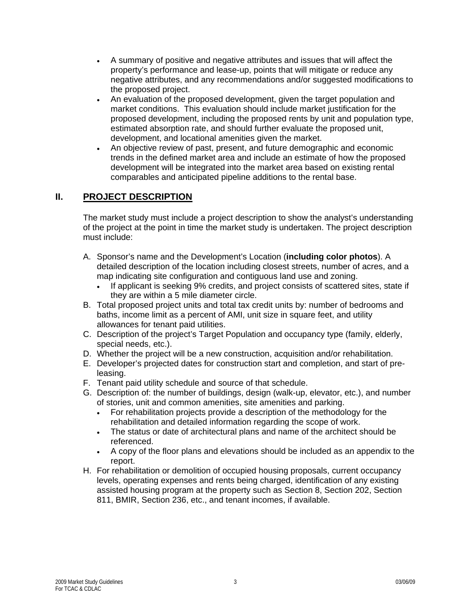- A summary of positive and negative attributes and issues that will affect the property's performance and lease-up, points that will mitigate or reduce any negative attributes, and any recommendations and/or suggested modifications to the proposed project.
- An evaluation of the proposed development, given the target population and market conditions. This evaluation should include market justification for the proposed development, including the proposed rents by unit and population type, estimated absorption rate, and should further evaluate the proposed unit, development, and locational amenities given the market.
- An objective review of past, present, and future demographic and economic trends in the defined market area and include an estimate of how the proposed development will be integrated into the market area based on existing rental comparables and anticipated pipeline additions to the rental base.

### **II. PROJECT DESCRIPTION**

The market study must include a project description to show the analyst's understanding of the project at the point in time the market study is undertaken. The project description must include:

- A. Sponsor's name and the Development's Location (**including color photos**). A detailed description of the location including closest streets, number of acres, and a map indicating site configuration and contiguous land use and zoning.
	- If applicant is seeking 9% credits, and project consists of scattered sites, state if they are within a 5 mile diameter circle.
- B. Total proposed project units and total tax credit units by: number of bedrooms and baths, income limit as a percent of AMI, unit size in square feet, and utility allowances for tenant paid utilities.
- C. Description of the project's Target Population and occupancy type (family, elderly, special needs, etc.).
- D. Whether the project will be a new construction, acquisition and/or rehabilitation.
- E. Developer's projected dates for construction start and completion, and start of preleasing.
- F. Tenant paid utility schedule and source of that schedule.
- G. Description of: the number of buildings, design (walk-up, elevator, etc.), and number of stories, unit and common amenities, site amenities and parking.
	- For rehabilitation projects provide a description of the methodology for the rehabilitation and detailed information regarding the scope of work.
	- The status or date of architectural plans and name of the architect should be referenced.
	- A copy of the floor plans and elevations should be included as an appendix to the report.
- H. For rehabilitation or demolition of occupied housing proposals, current occupancy levels, operating expenses and rents being charged, identification of any existing assisted housing program at the property such as Section 8, Section 202, Section 811, BMIR, Section 236, etc., and tenant incomes, if available.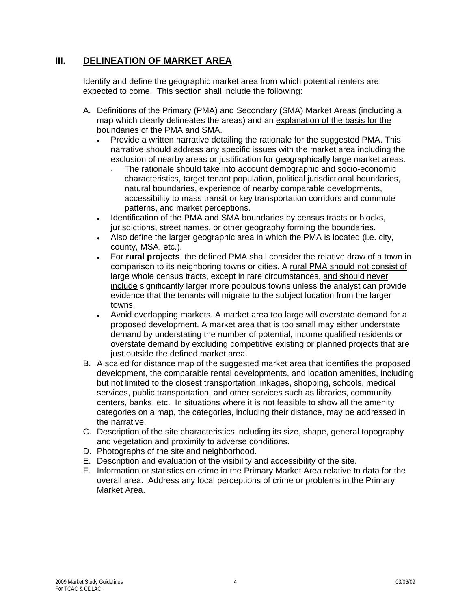# **III. DELINEATION OF MARKET AREA**

Identify and define the geographic market area from which potential renters are expected to come. This section shall include the following:

- A. Definitions of the Primary (PMA) and Secondary (SMA) Market Areas (including a map which clearly delineates the areas) and an explanation of the basis for the boundaries of the PMA and SMA.
	- Provide a written narrative detailing the rationale for the suggested PMA. This narrative should address any specific issues with the market area including the exclusion of nearby areas or justification for geographically large market areas.
		- The rationale should take into account demographic and socio-economic characteristics, target tenant population, political jurisdictional boundaries, natural boundaries, experience of nearby comparable developments, accessibility to mass transit or key transportation corridors and commute patterns, and market perceptions.
	- Identification of the PMA and SMA boundaries by census tracts or blocks, jurisdictions, street names, or other geography forming the boundaries.
	- Also define the larger geographic area in which the PMA is located (i.e. city, county, MSA, etc.).
	- For **rural projects**, the defined PMA shall consider the relative draw of a town in comparison to its neighboring towns or cities. A rural PMA should not consist of large whole census tracts, except in rare circumstances, and should never include significantly larger more populous towns unless the analyst can provide evidence that the tenants will migrate to the subject location from the larger towns.
	- Avoid overlapping markets. A market area too large will overstate demand for a proposed development. A market area that is too small may either understate demand by understating the number of potential, income qualified residents or overstate demand by excluding competitive existing or planned projects that are just outside the defined market area.
- B. A scaled for distance map of the suggested market area that identifies the proposed development, the comparable rental developments, and location amenities, including but not limited to the closest transportation linkages, shopping, schools, medical services, public transportation, and other services such as libraries, community centers, banks, etc. In situations where it is not feasible to show all the amenity categories on a map, the categories, including their distance, may be addressed in the narrative.
- C. Description of the site characteristics including its size, shape, general topography and vegetation and proximity to adverse conditions.
- D. Photographs of the site and neighborhood.
- E. Description and evaluation of the visibility and accessibility of the site.
- F. Information or statistics on crime in the Primary Market Area relative to data for the overall area. Address any local perceptions of crime or problems in the Primary Market Area.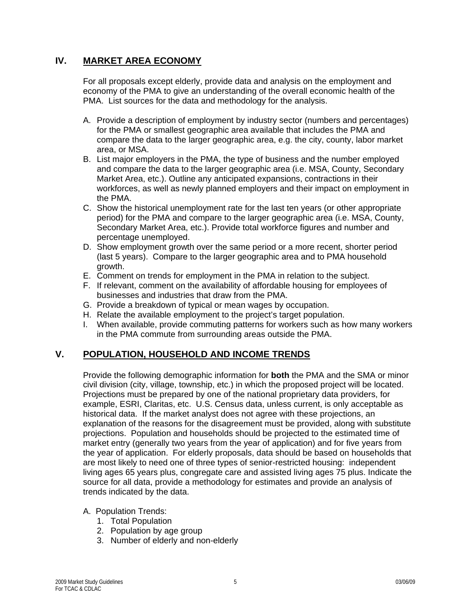# **IV. MARKET AREA ECONOMY**

For all proposals except elderly, provide data and analysis on the employment and economy of the PMA to give an understanding of the overall economic health of the PMA. List sources for the data and methodology for the analysis.

- A. Provide a description of employment by industry sector (numbers and percentages) for the PMA or smallest geographic area available that includes the PMA and compare the data to the larger geographic area, e.g. the city, county, labor market area, or MSA.
- B. List major employers in the PMA, the type of business and the number employed and compare the data to the larger geographic area (i.e. MSA, County, Secondary Market Area, etc.). Outline any anticipated expansions, contractions in their workforces, as well as newly planned employers and their impact on employment in the PMA.
- C. Show the historical unemployment rate for the last ten years (or other appropriate period) for the PMA and compare to the larger geographic area (i.e. MSA, County, Secondary Market Area, etc.). Provide total workforce figures and number and percentage unemployed.
- D. Show employment growth over the same period or a more recent, shorter period (last 5 years). Compare to the larger geographic area and to PMA household growth.
- E. Comment on trends for employment in the PMA in relation to the subject.
- F. If relevant, comment on the availability of affordable housing for employees of businesses and industries that draw from the PMA.
- G. Provide a breakdown of typical or mean wages by occupation.
- H. Relate the available employment to the project's target population.
- I. When available, provide commuting patterns for workers such as how many workers in the PMA commute from surrounding areas outside the PMA.

# **V. POPULATION, HOUSEHOLD AND INCOME TRENDS**

Provide the following demographic information for **both** the PMA and the SMA or minor civil division (city, village, township, etc.) in which the proposed project will be located. Projections must be prepared by one of the national proprietary data providers, for example, ESRI, Claritas, etc. U.S. Census data, unless current, is only acceptable as historical data. If the market analyst does not agree with these projections, an explanation of the reasons for the disagreement must be provided, along with substitute projections. Population and households should be projected to the estimated time of market entry (generally two years from the year of application) and for five years from the year of application. For elderly proposals, data should be based on households that are most likely to need one of three types of senior-restricted housing: independent living ages 65 years plus, congregate care and assisted living ages 75 plus. Indicate the source for all data, provide a methodology for estimates and provide an analysis of trends indicated by the data.

- A. Population Trends:
	- 1. Total Population
	- 2. Population by age group
	- 3. Number of elderly and non-elderly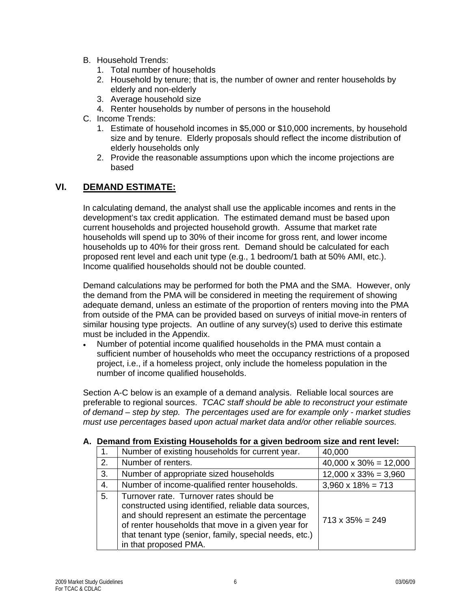- B. Household Trends:
	- 1. Total number of households
	- 2. Household by tenure; that is, the number of owner and renter households by elderly and non-elderly
	- 3. Average household size
	- 4. Renter households by number of persons in the household
- C. Income Trends:
	- 1. Estimate of household incomes in \$5,000 or \$10,000 increments, by household size and by tenure. Elderly proposals should reflect the income distribution of elderly households only
	- 2. Provide the reasonable assumptions upon which the income projections are based

### **VI. DEMAND ESTIMATE:**

In calculating demand, the analyst shall use the applicable incomes and rents in the development's tax credit application. The estimated demand must be based upon current households and projected household growth. Assume that market rate households will spend up to 30% of their income for gross rent, and lower income households up to 40% for their gross rent. Demand should be calculated for each proposed rent level and each unit type (e.g., 1 bedroom/1 bath at 50% AMI, etc.). Income qualified households should not be double counted.

Demand calculations may be performed for both the PMA and the SMA. However, only the demand from the PMA will be considered in meeting the requirement of showing adequate demand, unless an estimate of the proportion of renters moving into the PMA from outside of the PMA can be provided based on surveys of initial move-in renters of similar housing type projects. An outline of any survey(s) used to derive this estimate must be included in the Appendix.

• Number of potential income qualified households in the PMA must contain a sufficient number of households who meet the occupancy restrictions of a proposed project, i.e., if a homeless project, only include the homeless population in the number of income qualified households.

Section A-C below is an example of a demand analysis. Reliable local sources are preferable to regional sources. *TCAC staff should be able to reconstruct your estimate of demand – step by step. The percentages used are for example only - market studies must use percentages based upon actual market data and/or other reliable sources.*

#### **A. Demand from Existing Households for a given bedroom size and rent level:**

|    | Number of existing households for current year.                                                                                                                                                                                                                                             | 40,000                        |
|----|---------------------------------------------------------------------------------------------------------------------------------------------------------------------------------------------------------------------------------------------------------------------------------------------|-------------------------------|
| 2. | Number of renters.                                                                                                                                                                                                                                                                          | $40,000 \times 30\% = 12,000$ |
| 3. | Number of appropriate sized households                                                                                                                                                                                                                                                      | $12,000 \times 33\% = 3,960$  |
| 4. | Number of income-qualified renter households.<br>$3,960 \times 18\% = 713$                                                                                                                                                                                                                  |                               |
| 5. | Turnover rate. Turnover rates should be<br>constructed using identified, reliable data sources,<br>and should represent an estimate the percentage<br>of renter households that move in a given year for<br>that tenant type (senior, family, special needs, etc.)<br>in that proposed PMA. | $713 \times 35\% = 249$       |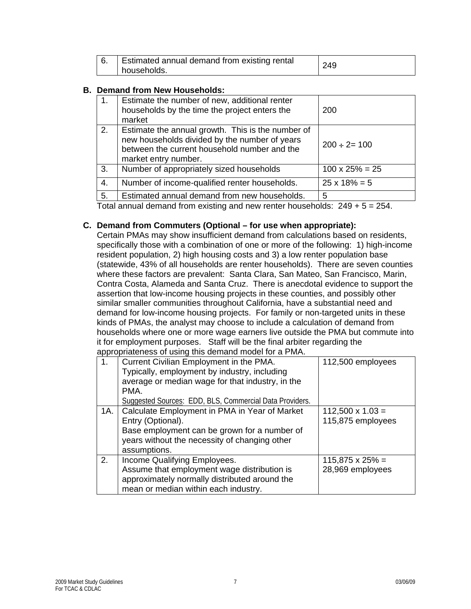| <b>Estimated annual demand from existing rental</b> | 249 |
|-----------------------------------------------------|-----|
| households.                                         |     |

#### **B. Demand from New Households:**

|                                                                                                | Estimate the number of new, additional renter<br>households by the time the project enters the<br>market                                                                   | 200                    |
|------------------------------------------------------------------------------------------------|----------------------------------------------------------------------------------------------------------------------------------------------------------------------------|------------------------|
| 2.                                                                                             | Estimate the annual growth. This is the number of<br>new households divided by the number of years<br>between the current household number and the<br>market entry number. | $200 \div 2 = 100$     |
| 3.                                                                                             | Number of appropriately sized households                                                                                                                                   | $100 \times 25\% = 25$ |
| 4.                                                                                             | Number of income-qualified renter households.                                                                                                                              | $25 \times 18\% = 5$   |
| 5.                                                                                             | Estimated annual demand from new households.                                                                                                                               | 5                      |
| $T_{\alpha}$ tol annual demond from quoting and nouveauter households: $0.40 \times F$<br>OE 4 |                                                                                                                                                                            |                        |

Total annual demand from existing and new renter households: 249 + 5 = 254.

#### **C. Demand from Commuters (Optional – for use when appropriate):**

Certain PMAs may show insufficient demand from calculations based on residents, specifically those with a combination of one or more of the following: 1) high-income resident population, 2) high housing costs and 3) a low renter population base (statewide, 43% of all households are renter households). There are seven counties where these factors are prevalent: Santa Clara, San Mateo, San Francisco, Marin, Contra Costa, Alameda and Santa Cruz. There is anecdotal evidence to support the assertion that low-income housing projects in these counties, and possibly other similar smaller communities throughout California, have a substantial need and demand for low-income housing projects. For family or non-targeted units in these kinds of PMAs, the analyst may choose to include a calculation of demand from households where one or more wage earners live outside the PMA but commute into it for employment purposes. Staff will be the final arbiter regarding the appropriateness of using this demand model for a PMA.

|     | appropriatorious or admig time domiana modernor annimit |                         |
|-----|---------------------------------------------------------|-------------------------|
| 1.  | Current Civilian Employment in the PMA.                 | 112,500 employees       |
|     | Typically, employment by industry, including            |                         |
|     | average or median wage for that industry, in the        |                         |
|     | PMA.                                                    |                         |
|     | Suggested Sources: EDD, BLS, Commercial Data Providers. |                         |
| 1A. | Calculate Employment in PMA in Year of Market           | $112,500 \times 1.03 =$ |
|     | Entry (Optional).                                       | 115,875 employees       |
|     | Base employment can be grown for a number of            |                         |
|     | years without the necessity of changing other           |                         |
|     | assumptions.                                            |                         |
| 2.  | Income Qualifying Employees.                            | $115,875 \times 25\% =$ |
|     | Assume that employment wage distribution is             | 28,969 employees        |
|     | approximately normally distributed around the           |                         |
|     | mean or median within each industry.                    |                         |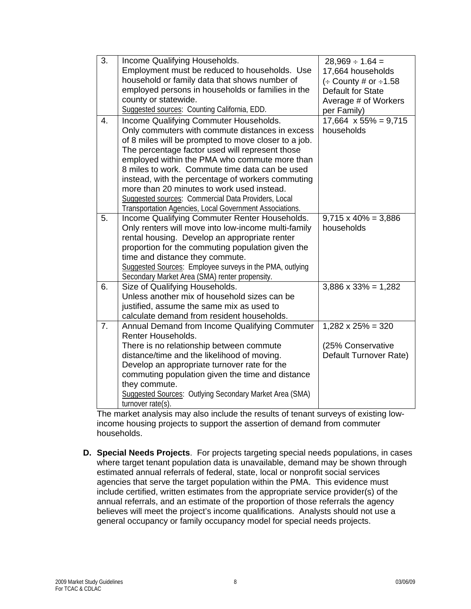| 3. | Income Qualifying Households.                                  | $28,969 \div 1.64 =$           |
|----|----------------------------------------------------------------|--------------------------------|
|    | Employment must be reduced to households. Use                  | 17,664 households              |
|    | household or family data that shows number of                  | $\div$ County # or $\div$ 1.58 |
|    | employed persons in households or families in the              | Default for State              |
|    | county or statewide.                                           | Average # of Workers           |
|    | Suggested sources: Counting California, EDD.                   | per Family)                    |
| 4. | Income Qualifying Commuter Households.                         | $17,664 \times 55\% = 9,715$   |
|    | Only commuters with commute distances in excess                | households                     |
|    | of 8 miles will be prompted to move closer to a job.           |                                |
|    | The percentage factor used will represent those                |                                |
|    | employed within the PMA who commute more than                  |                                |
|    | 8 miles to work. Commute time data can be used                 |                                |
|    | instead, with the percentage of workers commuting              |                                |
|    | more than 20 minutes to work used instead.                     |                                |
|    | Suggested sources: Commercial Data Providers, Local            |                                |
|    | Transportation Agencies, Local Government Associations.        |                                |
| 5. | Income Qualifying Commuter Renter Households.                  | $9,715 \times 40\% = 3,886$    |
|    | Only renters will move into low-income multi-family            | households                     |
|    | rental housing. Develop an appropriate renter                  |                                |
|    | proportion for the commuting population given the              |                                |
|    | time and distance they commute.                                |                                |
|    | Suggested Sources: Employee surveys in the PMA, outlying       |                                |
|    | Secondary Market Area (SMA) renter propensity.                 |                                |
| 6. | Size of Qualifying Households.                                 | $3,886 \times 33\% = 1,282$    |
|    | Unless another mix of household sizes can be                   |                                |
|    | justified, assume the same mix as used to                      |                                |
|    | calculate demand from resident households.                     |                                |
| 7. | Annual Demand from Income Qualifying Commuter                  | $1,282 \times 25\% = 320$      |
|    | Renter Households.                                             |                                |
|    | There is no relationship between commute                       | (25% Conservative              |
|    | distance/time and the likelihood of moving.                    | Default Turnover Rate)         |
|    | Develop an appropriate turnover rate for the                   |                                |
|    | commuting population given the time and distance               |                                |
|    | they commute.                                                  |                                |
|    | <b>Suggested Sources: Outlying Secondary Market Area (SMA)</b> |                                |
|    | $turnover rate(s)$ .                                           |                                |

The market analysis may also include the results of tenant surveys of existing lowincome housing projects to support the assertion of demand from commuter households.

**D. Special Needs Projects**. For projects targeting special needs populations, in cases where target tenant population data is unavailable, demand may be shown through estimated annual referrals of federal, state, local or nonprofit social services agencies that serve the target population within the PMA. This evidence must include certified, written estimates from the appropriate service provider(s) of the annual referrals, and an estimate of the proportion of those referrals the agency believes will meet the project's income qualifications. Analysts should not use a general occupancy or family occupancy model for special needs projects.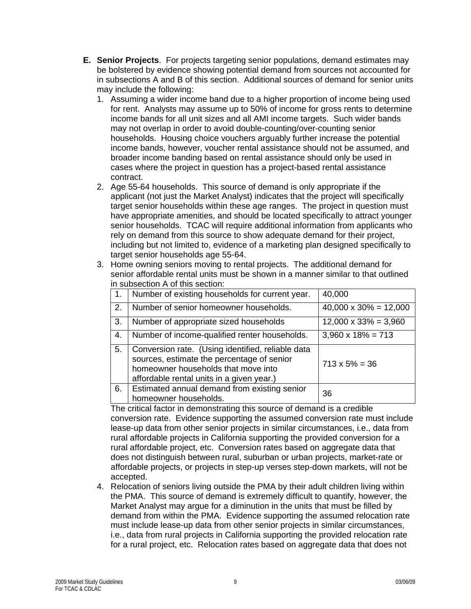- **E. Senior Projects**. For projects targeting senior populations, demand estimates may be bolstered by evidence showing potential demand from sources not accounted for in subsections A and B of this section. Additional sources of demand for senior units may include the following:
	- 1. Assuming a wider income band due to a higher proportion of income being used for rent. Analysts may assume up to 50% of income for gross rents to determine income bands for all unit sizes and all AMI income targets. Such wider bands may not overlap in order to avoid double-counting/over-counting senior households. Housing choice vouchers arguably further increase the potential income bands, however, voucher rental assistance should not be assumed, and broader income banding based on rental assistance should only be used in cases where the project in question has a project-based rental assistance contract.
	- 2. Age 55-64 households. This source of demand is only appropriate if the applicant (not just the Market Analyst) indicates that the project will specifically target senior households within these age ranges. The project in question must have appropriate amenities, and should be located specifically to attract younger senior households. TCAC will require additional information from applicants who rely on demand from this source to show adequate demand for their project, including but not limited to, evidence of a marketing plan designed specifically to target senior households age 55-64.
	- 3. Home owning seniors moving to rental projects. The additional demand for senior affordable rental units must be shown in a manner similar to that outlined in subsection A of this section:

| -1. | Number of existing households for current year.                                                                                                                                     | 40,000                        |
|-----|-------------------------------------------------------------------------------------------------------------------------------------------------------------------------------------|-------------------------------|
| 2.  | Number of senior homeowner households.                                                                                                                                              | $40,000 \times 30\% = 12,000$ |
| 3.  | Number of appropriate sized households                                                                                                                                              | $12,000 \times 33\% = 3,960$  |
| 4.  | Number of income-qualified renter households.                                                                                                                                       | $3,960 \times 18\% = 713$     |
| 5.  | Conversion rate. (Using identified, reliable data<br>sources, estimate the percentage of senior<br>homeowner households that move into<br>affordable rental units in a given year.) | $713 \times 5\% = 36$         |
| 6.  | Estimated annual demand from existing senior<br>homeowner households.                                                                                                               | 36                            |

The critical factor in demonstrating this source of demand is a credible conversion rate. Evidence supporting the assumed conversion rate must include lease-up data from other senior projects in similar circumstances, i.e., data from rural affordable projects in California supporting the provided conversion for a rural affordable project, etc. Conversion rates based on aggregate data that does not distinguish between rural, suburban or urban projects, market-rate or affordable projects, or projects in step-up verses step-down markets, will not be accepted.

4. Relocation of seniors living outside the PMA by their adult children living within the PMA. This source of demand is extremely difficult to quantify, however, the Market Analyst may argue for a diminution in the units that must be filled by demand from within the PMA. Evidence supporting the assumed relocation rate must include lease-up data from other senior projects in similar circumstances, i.e., data from rural projects in California supporting the provided relocation rate for a rural project, etc. Relocation rates based on aggregate data that does not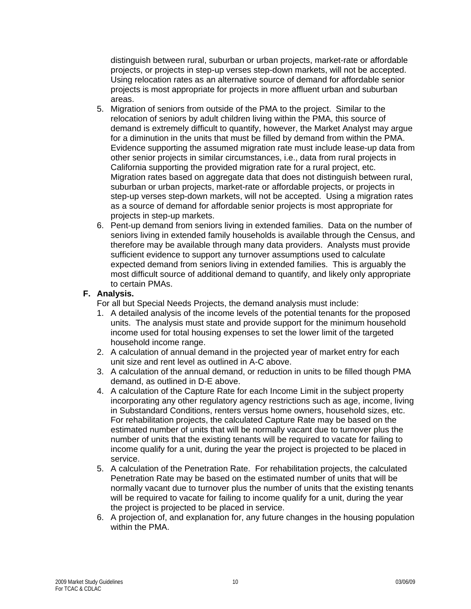distinguish between rural, suburban or urban projects, market-rate or affordable projects, or projects in step-up verses step-down markets, will not be accepted. Using relocation rates as an alternative source of demand for affordable senior projects is most appropriate for projects in more affluent urban and suburban areas.

- 5. Migration of seniors from outside of the PMA to the project. Similar to the relocation of seniors by adult children living within the PMA, this source of demand is extremely difficult to quantify, however, the Market Analyst may argue for a diminution in the units that must be filled by demand from within the PMA. Evidence supporting the assumed migration rate must include lease-up data from other senior projects in similar circumstances, i.e., data from rural projects in California supporting the provided migration rate for a rural project, etc. Migration rates based on aggregate data that does not distinguish between rural, suburban or urban projects, market-rate or affordable projects, or projects in step-up verses step-down markets, will not be accepted. Using a migration rates as a source of demand for affordable senior projects is most appropriate for projects in step-up markets.
- 6. Pent-up demand from seniors living in extended families. Data on the number of seniors living in extended family households is available through the Census, and therefore may be available through many data providers. Analysts must provide sufficient evidence to support any turnover assumptions used to calculate expected demand from seniors living in extended families. This is arguably the most difficult source of additional demand to quantify, and likely only appropriate to certain PMAs.

### **F. Analysis.**

For all but Special Needs Projects, the demand analysis must include:

- 1. A detailed analysis of the income levels of the potential tenants for the proposed units. The analysis must state and provide support for the minimum household income used for total housing expenses to set the lower limit of the targeted household income range.
- 2. A calculation of annual demand in the projected year of market entry for each unit size and rent level as outlined in A-C above.
- 3. A calculation of the annual demand, or reduction in units to be filled though PMA demand, as outlined in D-E above.
- 4. A calculation of the Capture Rate for each Income Limit in the subject property incorporating any other regulatory agency restrictions such as age, income, living in Substandard Conditions, renters versus home owners, household sizes, etc. For rehabilitation projects, the calculated Capture Rate may be based on the estimated number of units that will be normally vacant due to turnover plus the number of units that the existing tenants will be required to vacate for failing to income qualify for a unit, during the year the project is projected to be placed in service.
- 5. A calculation of the Penetration Rate. For rehabilitation projects, the calculated Penetration Rate may be based on the estimated number of units that will be normally vacant due to turnover plus the number of units that the existing tenants will be required to vacate for failing to income qualify for a unit, during the year the project is projected to be placed in service.
- 6. A projection of, and explanation for, any future changes in the housing population within the PMA.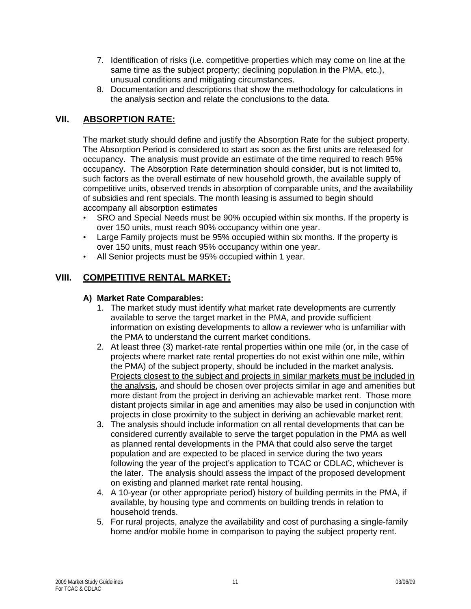- 7. Identification of risks (i.e. competitive properties which may come on line at the same time as the subject property; declining population in the PMA, etc.), unusual conditions and mitigating circumstances.
- 8. Documentation and descriptions that show the methodology for calculations in the analysis section and relate the conclusions to the data.

### **VII. ABSORPTION RATE:**

The market study should define and justify the Absorption Rate for the subject property. The Absorption Period is considered to start as soon as the first units are released for occupancy. The analysis must provide an estimate of the time required to reach 95% occupancy. The Absorption Rate determination should consider, but is not limited to, such factors as the overall estimate of new household growth, the available supply of competitive units, observed trends in absorption of comparable units, and the availability of subsidies and rent specials. The month leasing is assumed to begin should accompany all absorption estimates

- SRO and Special Needs must be 90% occupied within six months. If the property is over 150 units, must reach 90% occupancy within one year.
- Large Family projects must be 95% occupied within six months. If the property is over 150 units, must reach 95% occupancy within one year.
- All Senior projects must be 95% occupied within 1 year.

# **VIII. COMPETITIVE RENTAL MARKET:**

### **A) Market Rate Comparables:**

- 1. The market study must identify what market rate developments are currently available to serve the target market in the PMA, and provide sufficient information on existing developments to allow a reviewer who is unfamiliar with the PMA to understand the current market conditions.
- 2. At least three (3) market-rate rental properties within one mile (or, in the case of projects where market rate rental properties do not exist within one mile, within the PMA) of the subject property, should be included in the market analysis. Projects closest to the subject and projects in similar markets must be included in the analysis, and should be chosen over projects similar in age and amenities but more distant from the project in deriving an achievable market rent.Those more distant projects similar in age and amenities may also be used in conjunction with projects in close proximity to the subject in deriving an achievable market rent.
- 3. The analysis should include information on all rental developments that can be considered currently available to serve the target population in the PMA as well as planned rental developments in the PMA that could also serve the target population and are expected to be placed in service during the two years following the year of the project's application to TCAC or CDLAC, whichever is the later. The analysis should assess the impact of the proposed development on existing and planned market rate rental housing.
- 4. A 10-year (or other appropriate period) history of building permits in the PMA, if available, by housing type and comments on building trends in relation to household trends.
- 5. For rural projects, analyze the availability and cost of purchasing a single-family home and/or mobile home in comparison to paying the subject property rent.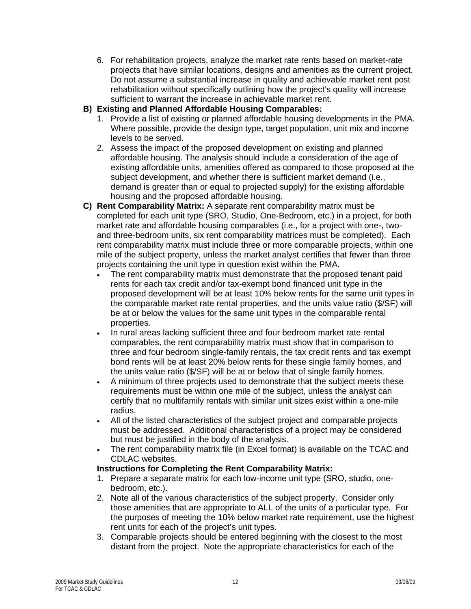6. For rehabilitation projects, analyze the market rate rents based on market-rate projects that have similar locations, designs and amenities as the current project. Do not assume a substantial increase in quality and achievable market rent post rehabilitation without specifically outlining how the project's quality will increase sufficient to warrant the increase in achievable market rent.

### **B) Existing and Planned Affordable Housing Comparables:**

- 1. Provide a list of existing or planned affordable housing developments in the PMA. Where possible, provide the design type, target population, unit mix and income levels to be served.
- 2. Assess the impact of the proposed development on existing and planned affordable housing. The analysis should include a consideration of the age of existing affordable units, amenities offered as compared to those proposed at the subject development, and whether there is sufficient market demand (i.e., demand is greater than or equal to projected supply) for the existing affordable housing and the proposed affordable housing.
- **C) Rent Comparability Matrix:** A separate rent comparability matrix must be completed for each unit type (SRO, Studio, One-Bedroom, etc.) in a project, for both market rate and affordable housing comparables (i.e., for a project with one-, twoand three-bedroom units, six rent comparability matrices must be completed). Each rent comparability matrix must include three or more comparable projects, within one mile of the subject property, unless the market analyst certifies that fewer than three projects containing the unit type in question exist within the PMA.
	- The rent comparability matrix must demonstrate that the proposed tenant paid rents for each tax credit and/or tax-exempt bond financed unit type in the proposed development will be at least 10% below rents for the same unit types in the comparable market rate rental properties, and the units value ratio (\$/SF) will be at or below the values for the same unit types in the comparable rental properties.
	- In rural areas lacking sufficient three and four bedroom market rate rental comparables, the rent comparability matrix must show that in comparison to three and four bedroom single-family rentals, the tax credit rents and tax exempt bond rents will be at least 20% below rents for these single family homes, and the units value ratio (\$/SF) will be at or below that of single family homes.
	- A minimum of three projects used to demonstrate that the subject meets these requirements must be within one mile of the subject, unless the analyst can certify that no multifamily rentals with similar unit sizes exist within a one-mile radius.
	- All of the listed characteristics of the subject project and comparable projects must be addressed. Additional characteristics of a project may be considered but must be justified in the body of the analysis.
	- The rent comparability matrix file (in Excel format) is available on the TCAC and CDLAC websites.

### **Instructions for Completing the Rent Comparability Matrix:**

- 1. Prepare a separate matrix for each low-income unit type (SRO, studio, onebedroom, etc.).
- 2. Note all of the various characteristics of the subject property. Consider only those amenities that are appropriate to ALL of the units of a particular type. For the purposes of meeting the 10% below market rate requirement, use the highest rent units for each of the project's unit types.
- 3. Comparable projects should be entered beginning with the closest to the most distant from the project. Note the appropriate characteristics for each of the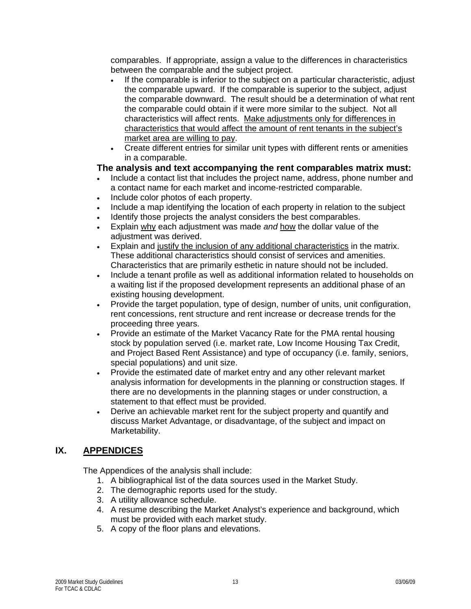comparables. If appropriate, assign a value to the differences in characteristics between the comparable and the subject project.

- If the comparable is inferior to the subject on a particular characteristic, adjust the comparable upward. If the comparable is superior to the subject, adjust the comparable downward. The result should be a determination of what rent the comparable could obtain if it were more similar to the subject. Not all characteristics will affect rents. Make adjustments only for differences in characteristics that would affect the amount of rent tenants in the subject's market area are willing to pay.
- Create different entries for similar unit types with different rents or amenities in a comparable.

### **The analysis and text accompanying the rent comparables matrix must:**

- Include a contact list that includes the project name, address, phone number and a contact name for each market and income-restricted comparable.
- Include color photos of each property.
- Include a map identifying the location of each property in relation to the subject
- Identify those projects the analyst considers the best comparables.
- Explain why each adjustment was made *and* how the dollar value of the adjustment was derived.
- Explain and justify the inclusion of any additional characteristics in the matrix. These additional characteristics should consist of services and amenities. Characteristics that are primarily esthetic in nature should not be included.
- Include a tenant profile as well as additional information related to households on a waiting list if the proposed development represents an additional phase of an existing housing development.
- Provide the target population, type of design, number of units, unit configuration, rent concessions, rent structure and rent increase or decrease trends for the proceeding three years.
- Provide an estimate of the Market Vacancy Rate for the PMA rental housing stock by population served (i.e. market rate, Low Income Housing Tax Credit, and Project Based Rent Assistance) and type of occupancy (i.e. family, seniors, special populations) and unit size.
- Provide the estimated date of market entry and any other relevant market analysis information for developments in the planning or construction stages. If there are no developments in the planning stages or under construction, a statement to that effect must be provided.
- Derive an achievable market rent for the subject property and quantify and discuss Market Advantage, or disadvantage, of the subject and impact on Marketability.

# **IX. APPENDICES**

The Appendices of the analysis shall include:

- 1. A bibliographical list of the data sources used in the Market Study.
- 2. The demographic reports used for the study.
- 3. A utility allowance schedule.
- 4. A resume describing the Market Analyst's experience and background, which must be provided with each market study.
- 5. A copy of the floor plans and elevations.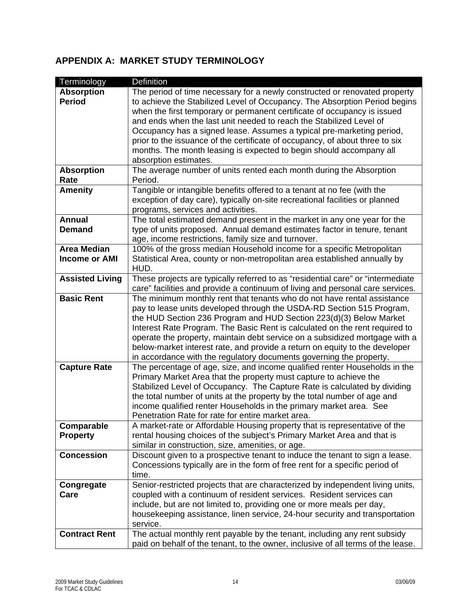# **APPENDIX A: MARKET STUDY TERMINOLOGY**

| Terminology            | Definition                                                                       |
|------------------------|----------------------------------------------------------------------------------|
| <b>Absorption</b>      | The period of time necessary for a newly constructed or renovated property       |
| <b>Period</b>          | to achieve the Stabilized Level of Occupancy. The Absorption Period begins       |
|                        | when the first temporary or permanent certificate of occupancy is issued         |
|                        | and ends when the last unit needed to reach the Stabilized Level of              |
|                        | Occupancy has a signed lease. Assumes a typical pre-marketing period,            |
|                        | prior to the issuance of the certificate of occupancy, of about three to six     |
|                        | months. The month leasing is expected to begin should accompany all              |
|                        | absorption estimates.                                                            |
| <b>Absorption</b>      | The average number of units rented each month during the Absorption              |
| Rate                   | Period.                                                                          |
| <b>Amenity</b>         | Tangible or intangible benefits offered to a tenant at no fee (with the          |
|                        | exception of day care), typically on-site recreational facilities or planned     |
|                        | programs, services and activities.                                               |
| <b>Annual</b>          | The total estimated demand present in the market in any one year for the         |
| <b>Demand</b>          | type of units proposed. Annual demand estimates factor in tenure, tenant         |
|                        | age, income restrictions, family size and turnover.                              |
| <b>Area Median</b>     | 100% of the gross median Household income for a specific Metropolitan            |
| <b>Income or AMI</b>   | Statistical Area, county or non-metropolitan area established annually by        |
|                        | HUD.                                                                             |
| <b>Assisted Living</b> | These projects are typically referred to as "residential care" or "intermediate  |
|                        | care" facilities and provide a continuum of living and personal care services.   |
| <b>Basic Rent</b>      | The minimum monthly rent that tenants who do not have rental assistance          |
|                        | pay to lease units developed through the USDA-RD Section 515 Program,            |
|                        | the HUD Section 236 Program and HUD Section 223(d)(3) Below Market               |
|                        | Interest Rate Program. The Basic Rent is calculated on the rent required to      |
|                        | operate the property, maintain debt service on a subsidized mortgage with a      |
|                        | below-market interest rate, and provide a return on equity to the developer      |
|                        | in accordance with the regulatory documents governing the property.              |
| <b>Capture Rate</b>    | The percentage of age, size, and income qualified renter Households in the       |
|                        | Primary Market Area that the property must capture to achieve the                |
|                        | Stabilized Level of Occupancy. The Capture Rate is calculated by dividing        |
|                        | the total number of units at the property by the total number of age and         |
|                        | income qualified renter Households in the primary market area. See               |
|                        | Penetration Rate for rate for entire market area.                                |
| Comparable             | A market-rate or Affordable Housing property that is representative of the       |
| <b>Property</b>        | rental housing choices of the subject's Primary Market Area and that is          |
|                        | similar in construction, size, amenities, or age.                                |
| <b>Concession</b>      | Discount given to a prospective tenant to induce the tenant to sign a lease.     |
|                        | Concessions typically are in the form of free rent for a specific period of      |
|                        | time.                                                                            |
| Congregate             | Senior-restricted projects that are characterized by independent living units,   |
| Care                   | coupled with a continuum of resident services. Resident services can             |
|                        | include, but are not limited to, providing one or more meals per day,            |
|                        | housekeeping assistance, linen service, 24-hour security and transportation      |
|                        | service.                                                                         |
| <b>Contract Rent</b>   | The actual monthly rent payable by the tenant, including any rent subsidy        |
|                        | paid on behalf of the tenant, to the owner, inclusive of all terms of the lease. |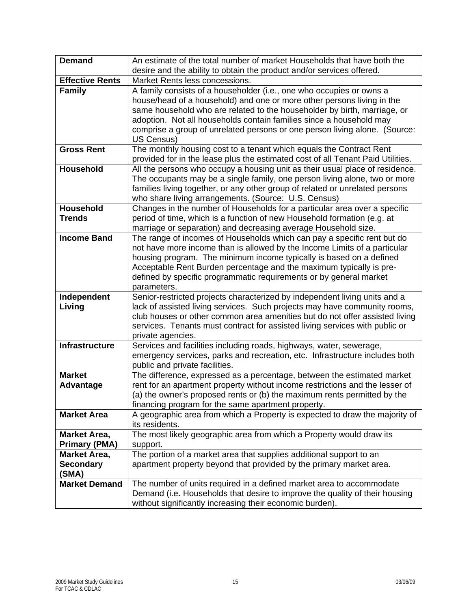| <b>Demand</b>          | An estimate of the total number of market Households that have both the<br>desire and the ability to obtain the product and/or services offered. |
|------------------------|--------------------------------------------------------------------------------------------------------------------------------------------------|
| <b>Effective Rents</b> | Market Rents less concessions.                                                                                                                   |
| <b>Family</b>          | A family consists of a householder (i.e., one who occupies or owns a                                                                             |
|                        | house/head of a household) and one or more other persons living in the                                                                           |
|                        | same household who are related to the householder by birth, marriage, or                                                                         |
|                        | adoption. Not all households contain families since a household may                                                                              |
|                        | comprise a group of unrelated persons or one person living alone. (Source:                                                                       |
|                        | US Census)                                                                                                                                       |
| <b>Gross Rent</b>      | The monthly housing cost to a tenant which equals the Contract Rent                                                                              |
|                        | provided for in the lease plus the estimated cost of all Tenant Paid Utilities.                                                                  |
| <b>Household</b>       | All the persons who occupy a housing unit as their usual place of residence.                                                                     |
|                        | The occupants may be a single family, one person living alone, two or more                                                                       |
|                        | families living together, or any other group of related or unrelated persons                                                                     |
|                        | who share living arrangements. (Source: U.S. Census)                                                                                             |
| <b>Household</b>       | Changes in the number of Households for a particular area over a specific                                                                        |
| <b>Trends</b>          | period of time, which is a function of new Household formation (e.g. at                                                                          |
|                        | marriage or separation) and decreasing average Household size.                                                                                   |
| <b>Income Band</b>     | The range of incomes of Households which can pay a specific rent but do                                                                          |
|                        | not have more income than is allowed by the Income Limits of a particular                                                                        |
|                        | housing program. The minimum income typically is based on a defined                                                                              |
|                        | Acceptable Rent Burden percentage and the maximum typically is pre-                                                                              |
|                        | defined by specific programmatic requirements or by general market                                                                               |
|                        | parameters.                                                                                                                                      |
| Independent            | Senior-restricted projects characterized by independent living units and a                                                                       |
| Living                 | lack of assisted living services. Such projects may have community rooms,                                                                        |
|                        | club houses or other common area amenities but do not offer assisted living                                                                      |
|                        | services. Tenants must contract for assisted living services with public or                                                                      |
|                        | private agencies.                                                                                                                                |
| <b>Infrastructure</b>  | Services and facilities including roads, highways, water, sewerage,                                                                              |
|                        | emergency services, parks and recreation, etc. Infrastructure includes both                                                                      |
|                        | public and private facilities.                                                                                                                   |
| <b>Market</b>          | The difference, expressed as a percentage, between the estimated market                                                                          |
| <b>Advantage</b>       | rent for an apartment property without income restrictions and the lesser of                                                                     |
|                        | (a) the owner's proposed rents or (b) the maximum rents permitted by the                                                                         |
|                        | financing program for the same apartment property.                                                                                               |
| <b>Market Area</b>     | A geographic area from which a Property is expected to draw the majority of                                                                      |
|                        | its residents.                                                                                                                                   |
| <b>Market Area,</b>    | The most likely geographic area from which a Property would draw its                                                                             |
| <b>Primary (PMA)</b>   | support.                                                                                                                                         |
| <b>Market Area,</b>    | The portion of a market area that supplies additional support to an                                                                              |
| <b>Secondary</b>       | apartment property beyond that provided by the primary market area.                                                                              |
| (SMA)                  |                                                                                                                                                  |
| <b>Market Demand</b>   | The number of units required in a defined market area to accommodate                                                                             |
|                        | Demand (i.e. Households that desire to improve the quality of their housing                                                                      |
|                        | without significantly increasing their economic burden).                                                                                         |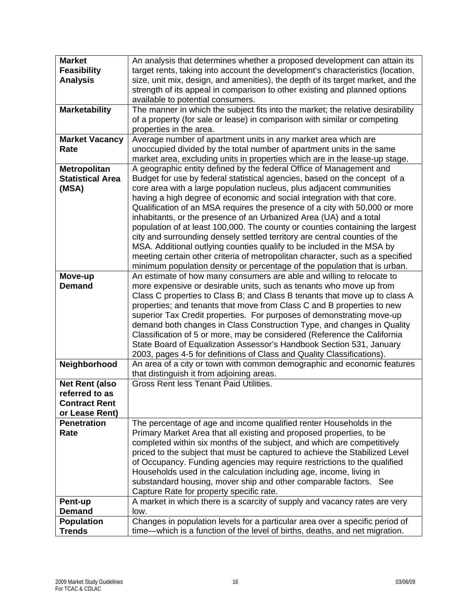| <b>Market</b>           | An analysis that determines whether a proposed development can attain its       |
|-------------------------|---------------------------------------------------------------------------------|
| <b>Feasibility</b>      | target rents, taking into account the development's characteristics (location,  |
| <b>Analysis</b>         | size, unit mix, design, and amenities), the depth of its target market, and the |
|                         | strength of its appeal in comparison to other existing and planned options      |
|                         | available to potential consumers.                                               |
| <b>Marketability</b>    | The manner in which the subject fits into the market; the relative desirability |
|                         | of a property (for sale or lease) in comparison with similar or competing       |
|                         | properties in the area.                                                         |
| <b>Market Vacancy</b>   | Average number of apartment units in any market area which are                  |
| Rate                    | unoccupied divided by the total number of apartment units in the same           |
|                         | market area, excluding units in properties which are in the lease-up stage.     |
| <b>Metropolitan</b>     | A geographic entity defined by the federal Office of Management and             |
| <b>Statistical Area</b> | Budget for use by federal statistical agencies, based on the concept of a       |
| (MSA)                   | core area with a large population nucleus, plus adjacent communities            |
|                         | having a high degree of economic and social integration with that core.         |
|                         | Qualification of an MSA requires the presence of a city with 50,000 or more     |
|                         | inhabitants, or the presence of an Urbanized Area (UA) and a total              |
|                         | population of at least 100,000. The county or counties containing the largest   |
|                         | city and surrounding densely settled territory are central counties of the      |
|                         | MSA. Additional outlying counties qualify to be included in the MSA by          |
|                         | meeting certain other criteria of metropolitan character, such as a specified   |
|                         | minimum population density or percentage of the population that is urban.       |
| Move-up                 | An estimate of how many consumers are able and willing to relocate to           |
| <b>Demand</b>           | more expensive or desirable units, such as tenants who move up from             |
|                         | Class C properties to Class B; and Class B tenants that move up to class A      |
|                         | properties; and tenants that move from Class C and B properties to new          |
|                         | superior Tax Credit properties. For purposes of demonstrating move-up           |
|                         | demand both changes in Class Construction Type, and changes in Quality          |
|                         | Classification of 5 or more, may be considered (Reference the California        |
|                         | State Board of Equalization Assessor's Handbook Section 531, January            |
|                         | 2003, pages 4-5 for definitions of Class and Quality Classifications).          |
| Neighborhood            | An area of a city or town with common demographic and economic features         |
|                         | that distinguish it from adjoining areas.                                       |
| <b>Net Rent (also</b>   | <b>Gross Rent less Tenant Paid Utilities.</b>                                   |
| referred to as          |                                                                                 |
| <b>Contract Rent</b>    |                                                                                 |
| or Lease Rent)          |                                                                                 |
| <b>Penetration</b>      | The percentage of age and income qualified renter Households in the             |
| Rate                    | Primary Market Area that all existing and proposed properties, to be            |
|                         | completed within six months of the subject, and which are competitively         |
|                         | priced to the subject that must be captured to achieve the Stabilized Level     |
|                         | of Occupancy. Funding agencies may require restrictions to the qualified        |
|                         | Households used in the calculation including age, income, living in             |
|                         | substandard housing, mover ship and other comparable factors. See               |
|                         | Capture Rate for property specific rate.                                        |
| Pent-up                 | A market in which there is a scarcity of supply and vacancy rates are very      |
| <b>Demand</b>           | low.                                                                            |
| <b>Population</b>       | Changes in population levels for a particular area over a specific period of    |
| <b>Trends</b>           | time—which is a function of the level of births, deaths, and net migration.     |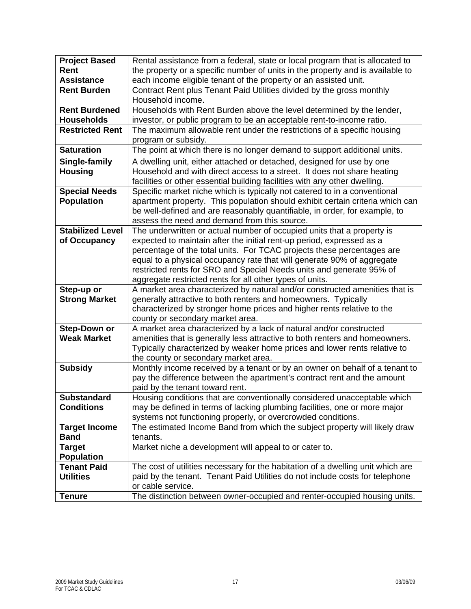| <b>Project Based</b>    | Rental assistance from a federal, state or local program that is allocated to   |
|-------------------------|---------------------------------------------------------------------------------|
| Rent                    | the property or a specific number of units in the property and is available to  |
| <b>Assistance</b>       | each income eligible tenant of the property or an assisted unit.                |
| <b>Rent Burden</b>      | Contract Rent plus Tenant Paid Utilities divided by the gross monthly           |
|                         | Household income.                                                               |
| <b>Rent Burdened</b>    | Households with Rent Burden above the level determined by the lender,           |
| <b>Households</b>       | investor, or public program to be an acceptable rent-to-income ratio.           |
| <b>Restricted Rent</b>  | The maximum allowable rent under the restrictions of a specific housing         |
|                         | program or subsidy.                                                             |
| <b>Saturation</b>       | The point at which there is no longer demand to support additional units.       |
| Single-family           | A dwelling unit, either attached or detached, designed for use by one           |
| <b>Housing</b>          | Household and with direct access to a street. It does not share heating         |
|                         | facilities or other essential building facilities with any other dwelling.      |
| <b>Special Needs</b>    | Specific market niche which is typically not catered to in a conventional       |
| <b>Population</b>       | apartment property. This population should exhibit certain criteria which can   |
|                         | be well-defined and are reasonably quantifiable, in order, for example, to      |
|                         | assess the need and demand from this source.                                    |
| <b>Stabilized Level</b> | The underwritten or actual number of occupied units that a property is          |
| of Occupancy            | expected to maintain after the initial rent-up period, expressed as a           |
|                         | percentage of the total units. For TCAC projects these percentages are          |
|                         | equal to a physical occupancy rate that will generate 90% of aggregate          |
|                         | restricted rents for SRO and Special Needs units and generate 95% of            |
|                         | aggregate restricted rents for all other types of units.                        |
| Step-up or              | A market area characterized by natural and/or constructed amenities that is     |
| <b>Strong Market</b>    | generally attractive to both renters and homeowners. Typically                  |
|                         | characterized by stronger home prices and higher rents relative to the          |
|                         | county or secondary market area.                                                |
| <b>Step-Down or</b>     | A market area characterized by a lack of natural and/or constructed             |
| <b>Weak Market</b>      | amenities that is generally less attractive to both renters and homeowners.     |
|                         | Typically characterized by weaker home prices and lower rents relative to       |
|                         | the county or secondary market area.                                            |
| <b>Subsidy</b>          | Monthly income received by a tenant or by an owner on behalf of a tenant to     |
|                         | pay the difference between the apartment's contract rent and the amount         |
|                         | paid by the tenant toward rent.                                                 |
| <b>Substandard</b>      | Housing conditions that are conventionally considered unacceptable which        |
| <b>Conditions</b>       | may be defined in terms of lacking plumbing facilities, one or more major       |
|                         | systems not functioning properly, or overcrowded conditions.                    |
| <b>Target Income</b>    | The estimated Income Band from which the subject property will likely draw      |
| <b>Band</b>             | tenants.                                                                        |
| Target                  | Market niche a development will appeal to or cater to.                          |
| <b>Population</b>       |                                                                                 |
| <b>Tenant Paid</b>      | The cost of utilities necessary for the habitation of a dwelling unit which are |
| <b>Utilities</b>        | paid by the tenant. Tenant Paid Utilities do not include costs for telephone    |
|                         | or cable service.                                                               |
| <b>Tenure</b>           | The distinction between owner-occupied and renter-occupied housing units.       |